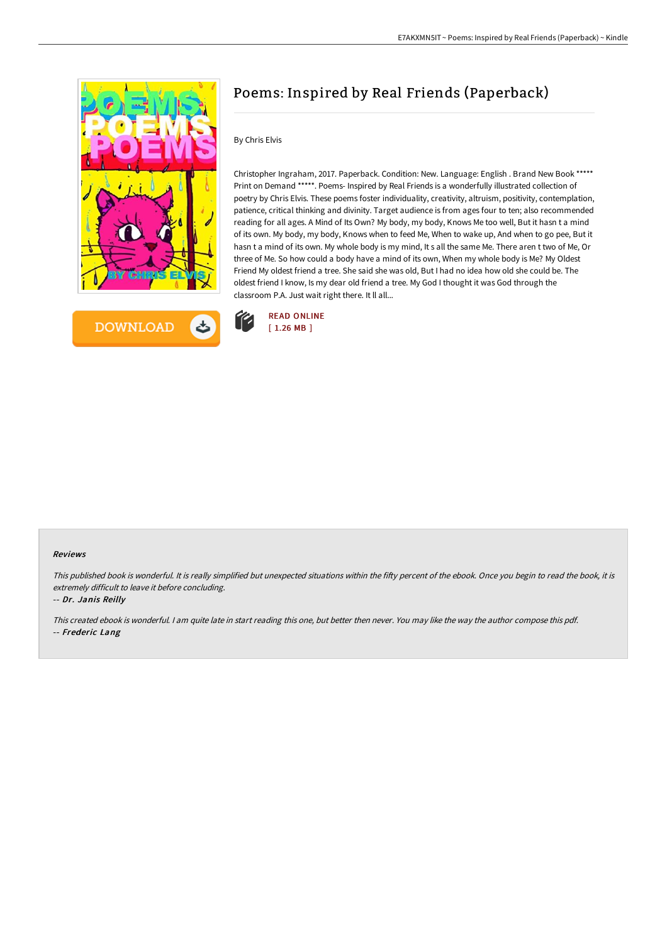



# Poems: Inspired by Real Friends (Paperback)

### By Chris Elvis

Christopher Ingraham, 2017. Paperback. Condition: New. Language: English . Brand New Book \*\*\*\*\* Print on Demand \*\*\*\*\*. Poems- Inspired by Real Friends is a wonderfully illustrated collection of poetry by Chris Elvis. These poems foster individuality, creativity, altruism, positivity, contemplation, patience, critical thinking and divinity. Target audience is from ages four to ten; also recommended reading for all ages. A Mind of Its Own? My body, my body, Knows Me too well, But it hasn t a mind of its own. My body, my body, Knows when to feed Me, When to wake up, And when to go pee, But it hasn t a mind of its own. My whole body is my mind, It s all the same Me. There aren t two of Me, Or three of Me. So how could a body have a mind of its own, When my whole body is Me? My Oldest Friend My oldest friend a tree. She said she was old, But I had no idea how old she could be. The oldest friend I know, Is my dear old friend a tree. My God I thought it was God through the classroom P.A. Just wait right there. It ll all...



#### Reviews

This published book is wonderful. It is really simplified but unexpected situations within the fifty percent of the ebook. Once you begin to read the book, it is extremely difficult to leave it before concluding.

-- Dr. Janis Reilly

This created ebook is wonderful. <sup>I</sup> am quite late in start reading this one, but better then never. You may like the way the author compose this pdf. -- Frederic Lang